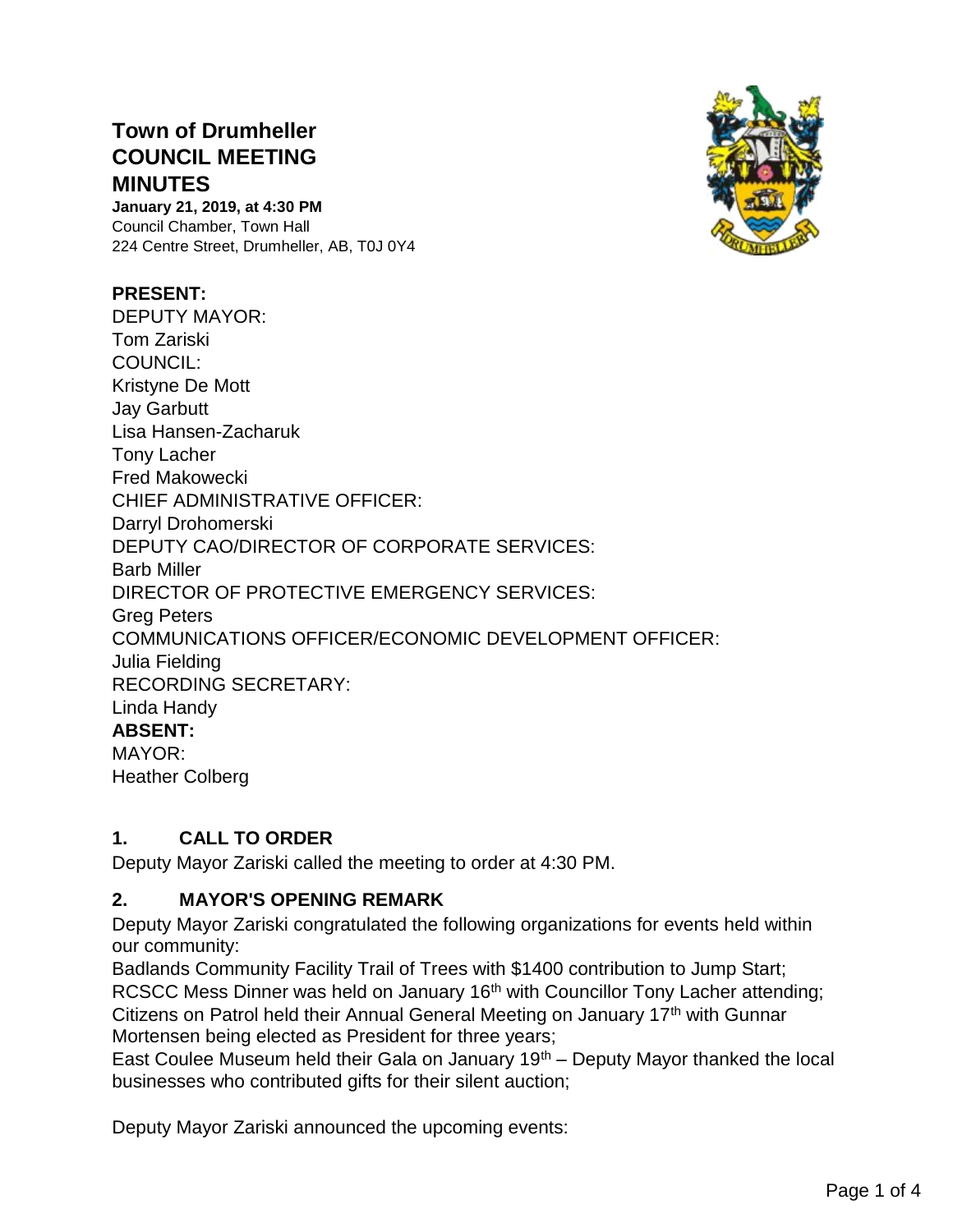# **Town of Drumheller COUNCIL MEETING MINUTES**

**January 21, 2019, at 4:30 PM** Council Chamber, Town Hall 224 Centre Street, Drumheller, AB, T0J 0Y4

#### **PRESENT:**

DEPUTY MAYOR: Tom Zariski COUNCIL: Kristyne De Mott Jay Garbutt Lisa Hansen-Zacharuk Tony Lacher Fred Makowecki CHIEF ADMINISTRATIVE OFFICER: Darryl Drohomerski DEPUTY CAO/DIRECTOR OF CORPORATE SERVICES: Barb Miller DIRECTOR OF PROTECTIVE EMERGENCY SERVICES: Greg Peters COMMUNICATIONS OFFICER/ECONOMIC DEVELOPMENT OFFICER: Julia Fielding RECORDING SECRETARY: Linda Handy **ABSENT:**  MAYOR: Heather Colberg

# **1. CALL TO ORDER**

Deputy Mayor Zariski called the meeting to order at 4:30 PM.

# **2. MAYOR'S OPENING REMARK**

Deputy Mayor Zariski congratulated the following organizations for events held within our community:

Badlands Community Facility Trail of Trees with \$1400 contribution to Jump Start; RCSCC Mess Dinner was held on January 16<sup>th</sup> with Councillor Tony Lacher attending; Citizens on Patrol held their Annual General Meeting on January 17<sup>th</sup> with Gunnar Mortensen being elected as President for three years;

East Coulee Museum held their Gala on January  $19<sup>th</sup>$  – Deputy Mayor thanked the local businesses who contributed gifts for their silent auction;

Deputy Mayor Zariski announced the upcoming events:

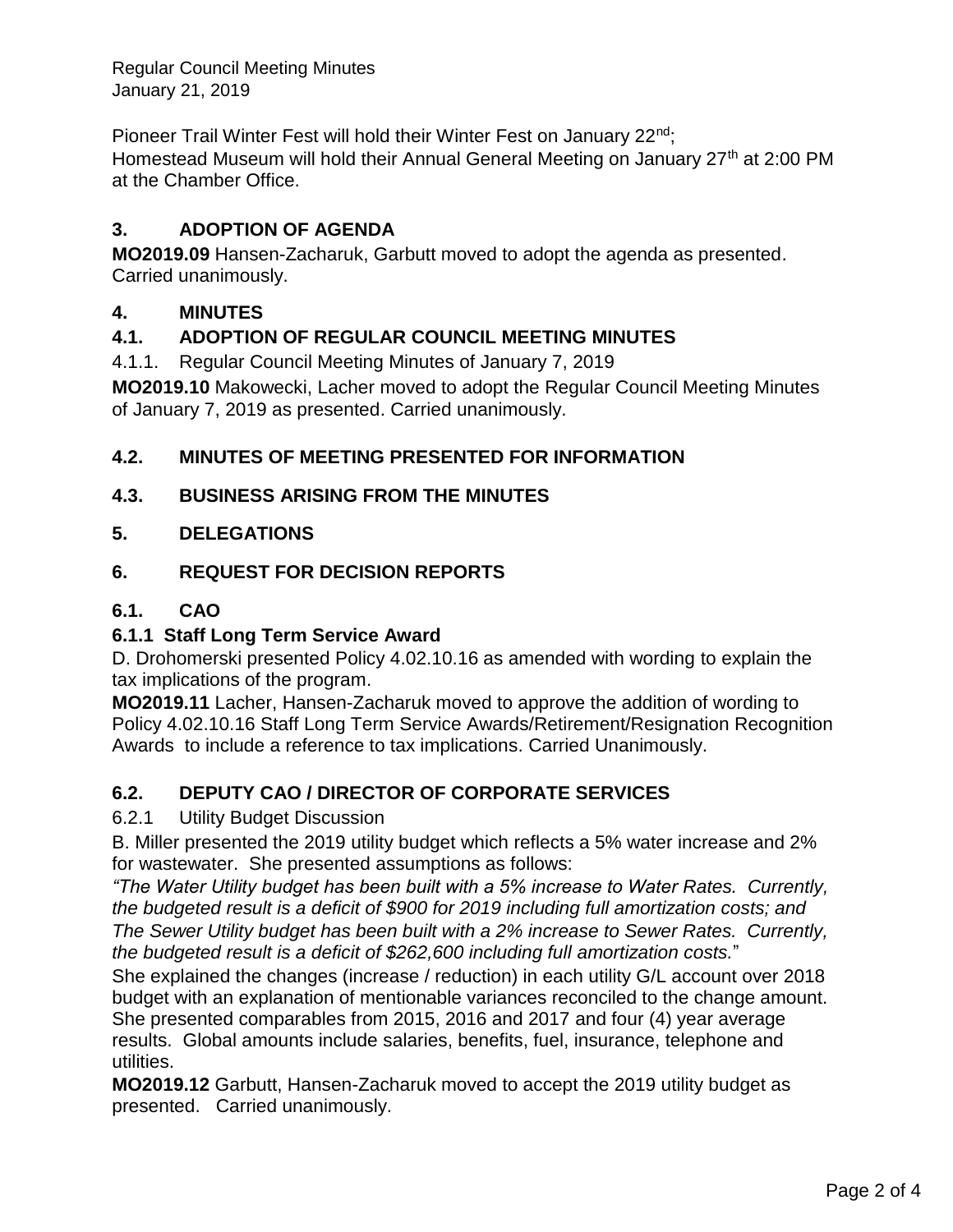Regular Council Meeting Minutes January 21, 2019

Pioneer Trail Winter Fest will hold their Winter Fest on January 22<sup>nd</sup>; Homestead Museum will hold their Annual General Meeting on January 27<sup>th</sup> at 2:00 PM at the Chamber Office.

# **3. ADOPTION OF AGENDA**

**MO2019.09** Hansen-Zacharuk, Garbutt moved to adopt the agenda as presented. Carried unanimously.

# **4. MINUTES**

# **4.1. ADOPTION OF REGULAR COUNCIL MEETING MINUTES**

4.1.1. Regular Council Meeting Minutes of January 7, 2019

**MO2019.10** Makowecki, Lacher moved to adopt the Regular Council Meeting Minutes of January 7, 2019 as presented. Carried unanimously.

# **4.2. MINUTES OF MEETING PRESENTED FOR INFORMATION**

# **4.3. BUSINESS ARISING FROM THE MINUTES**

# **5. DELEGATIONS**

# **6. REQUEST FOR DECISION REPORTS**

# **6.1. CAO**

# **6.1.1 Staff Long Term Service Award**

D. Drohomerski presented Policy 4.02.10.16 as amended with wording to explain the tax implications of the program.

**MO2019.11** Lacher, Hansen-Zacharuk moved to approve the addition of wording to Policy 4.02.10.16 Staff Long Term Service Awards/Retirement/Resignation Recognition Awards to include a reference to tax implications. Carried Unanimously.

# **6.2. DEPUTY CAO / DIRECTOR OF CORPORATE SERVICES**

# 6.2.1 Utility Budget Discussion

B. Miller presented the 2019 utility budget which reflects a 5% water increase and 2% for wastewater. She presented assumptions as follows:

*"The Water Utility budget has been built with a 5% increase to Water Rates. Currently, the budgeted result is a deficit of \$900 for 2019 including full amortization costs; and The Sewer Utility budget has been built with a 2% increase to Sewer Rates. Currently, the budgeted result is a deficit of \$262,600 including full amortization costs.*"

She explained the changes (increase / reduction) in each utility G/L account over 2018 budget with an explanation of mentionable variances reconciled to the change amount. She presented comparables from 2015, 2016 and 2017 and four (4) year average results. Global amounts include salaries, benefits, fuel, insurance, telephone and utilities.

**MO2019.12** Garbutt, Hansen-Zacharuk moved to accept the 2019 utility budget as presented. Carried unanimously.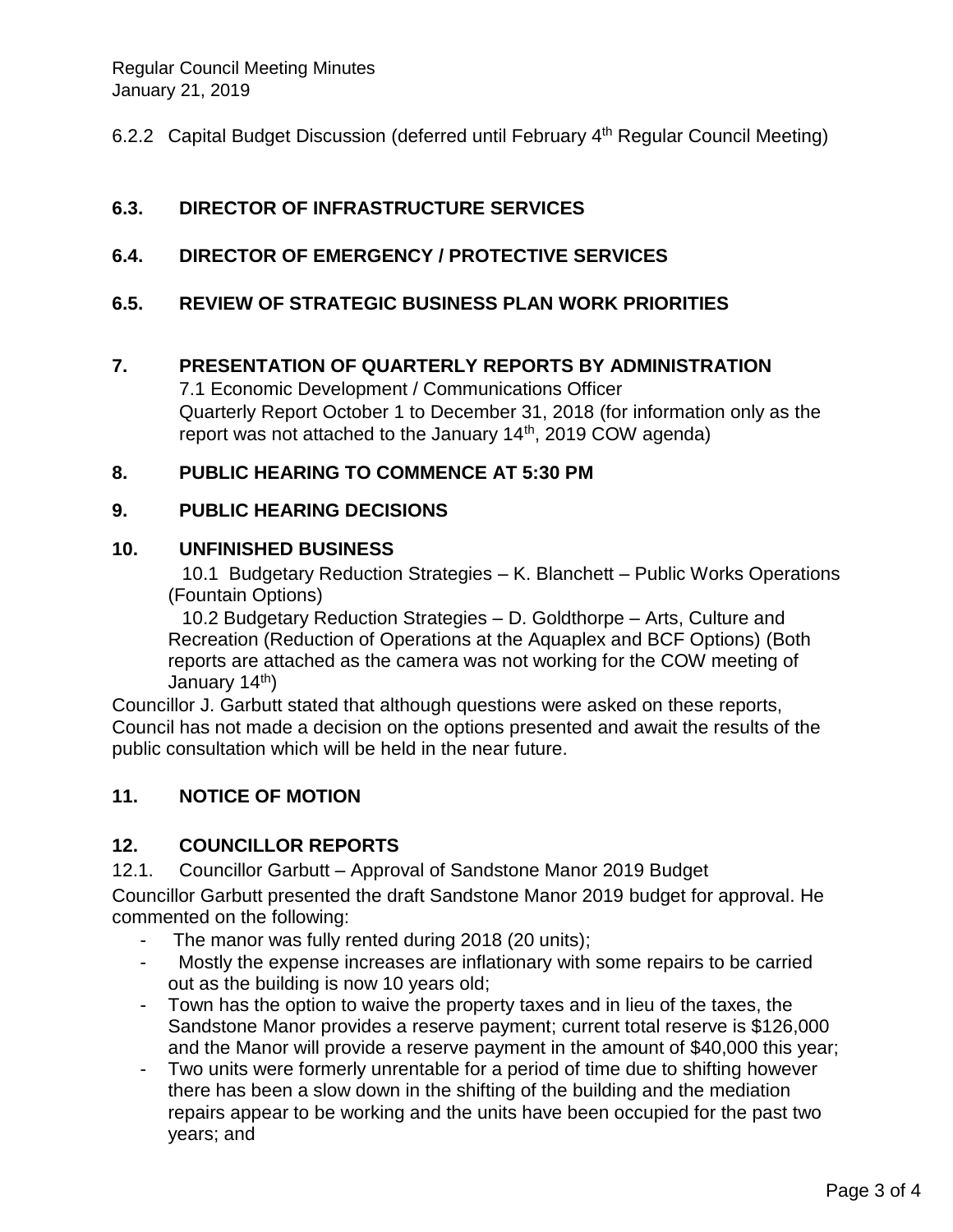6.2.2 Capital Budget Discussion (deferred until February 4<sup>th</sup> Regular Council Meeting)

# **6.3. DIRECTOR OF INFRASTRUCTURE SERVICES**

**6.4. DIRECTOR OF EMERGENCY / PROTECTIVE SERVICES**

# **6.5. REVIEW OF STRATEGIC BUSINESS PLAN WORK PRIORITIES**

#### **7. PRESENTATION OF QUARTERLY REPORTS BY ADMINISTRATION**

7.1 Economic Development / Communications Officer Quarterly Report October 1 to December 31, 2018 (for information only as the report was not attached to the January  $14<sup>th</sup>$ , 2019 COW agenda)

#### **8. PUBLIC HEARING TO COMMENCE AT 5:30 PM**

#### **9. PUBLIC HEARING DECISIONS**

#### **10. UNFINISHED BUSINESS**

10.1 Budgetary Reduction Strategies – K. Blanchett – Public Works Operations (Fountain Options)

10.2 Budgetary Reduction Strategies – D. Goldthorpe – Arts, Culture and Recreation (Reduction of Operations at the Aquaplex and BCF Options) (Both reports are attached as the camera was not working for the COW meeting of January 14<sup>th</sup>)

Councillor J. Garbutt stated that although questions were asked on these reports, Council has not made a decision on the options presented and await the results of the public consultation which will be held in the near future.

# **11. NOTICE OF MOTION**

# **12. COUNCILLOR REPORTS**

12.1. Councillor Garbutt – Approval of Sandstone Manor 2019 Budget

Councillor Garbutt presented the draft Sandstone Manor 2019 budget for approval. He commented on the following:

- The manor was fully rented during 2018 (20 units);
- Mostly the expense increases are inflationary with some repairs to be carried out as the building is now 10 years old;
- Town has the option to waive the property taxes and in lieu of the taxes, the Sandstone Manor provides a reserve payment; current total reserve is \$126,000 and the Manor will provide a reserve payment in the amount of \$40,000 this year;
- Two units were formerly unrentable for a period of time due to shifting however there has been a slow down in the shifting of the building and the mediation repairs appear to be working and the units have been occupied for the past two years; and